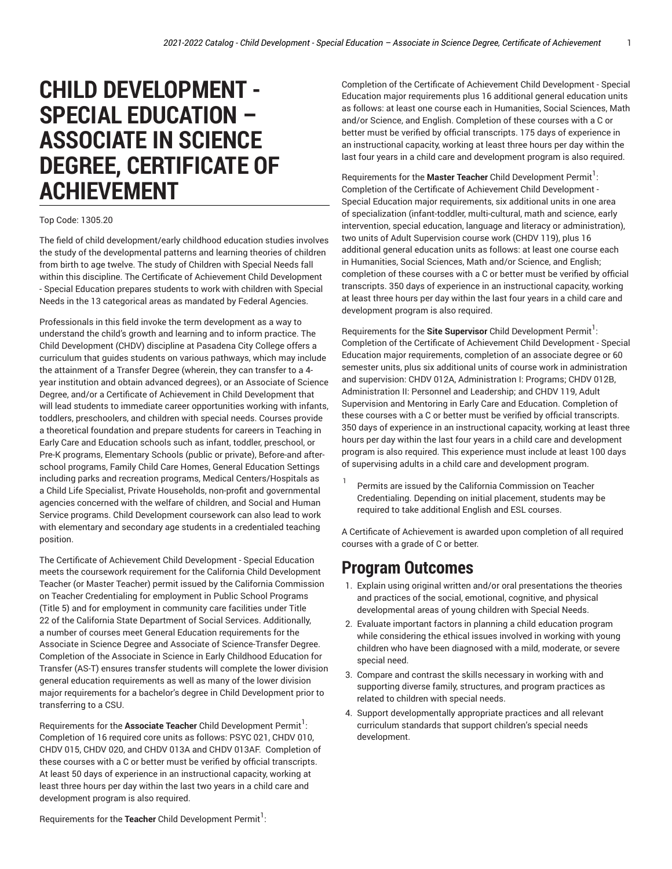# **CHILD DEVELOPMENT - SPECIAL EDUCATION – ASSOCIATE IN SCIENCE DEGREE, CERTIFICATE OF ACHIEVEMENT**

#### Top Code: 1305.20

The field of child development/early childhood education studies involves the study of the developmental patterns and learning theories of children from birth to age twelve. The study of Children with Special Needs fall within this discipline. The Certificate of Achievement Child Development - Special Education prepares students to work with children with Special Needs in the 13 categorical areas as mandated by Federal Agencies.

Professionals in this field invoke the term development as a way to understand the child's growth and learning and to inform practice. The Child Development (CHDV) discipline at Pasadena City College offers a curriculum that guides students on various pathways, which may include the attainment of a Transfer Degree (wherein, they can transfer to a 4 year institution and obtain advanced degrees), or an Associate of Science Degree, and/or a Certificate of Achievement in Child Development that will lead students to immediate career opportunities working with infants, toddlers, preschoolers, and children with special needs. Courses provide a theoretical foundation and prepare students for careers in Teaching in Early Care and Education schools such as infant, toddler, preschool, or Pre-K programs, Elementary Schools (public or private), Before-and afterschool programs, Family Child Care Homes, General Education Settings including parks and recreation programs, Medical Centers/Hospitals as a Child Life Specialist, Private Households, non-profit and governmental agencies concerned with the welfare of children, and Social and Human Service programs. Child Development coursework can also lead to work with elementary and secondary age students in a credentialed teaching position.

The Certificate of Achievement Child Development - Special Education meets the coursework requirement for the California Child Development Teacher (or Master Teacher) permit issued by the California Commission on Teacher Credentialing for employment in Public School Programs (Title 5) and for employment in community care facilities under Title 22 of the California State Department of Social Services. Additionally, a number of courses meet General Education requirements for the Associate in Science Degree and Associate of Science-Transfer Degree. Completion of the Associate in Science in Early Childhood Education for Transfer (AS-T) ensures transfer students will complete the lower division general education requirements as well as many of the lower division major requirements for a bachelor's degree in Child Development prior to transferring to a CSU.

Requirements for the **Associate Teacher** Child Development Permit 1 : Completion of 16 required core units as follows: PSYC 021, CHDV 010, CHDV 015, CHDV 020, and CHDV 013A and CHDV 013AF. Completion of these courses with a C or better must be verified by official transcripts. At least 50 days of experience in an instructional capacity, working at least three hours per day within the last two years in a child care and development program is also required.

Completion of the Certificate of Achievement Child Development - Special Education major requirements plus 16 additional general education units as follows: at least one course each in Humanities, Social Sciences, Math and/or Science, and English. Completion of these courses with a C or better must be verified by official transcripts. 175 days of experience in an instructional capacity, working at least three hours per day within the last four years in a child care and development program is also required.

Requirements for the **Master Teacher** Child Development Permit 1 : Completion of the Certificate of Achievement Child Development - Special Education major requirements, six additional units in one area of specialization (infant-toddler, multi-cultural, math and science, early intervention, special education, language and literacy or administration), two units of Adult Supervision course work (CHDV 119), plus 16 additional general education units as follows: at least one course each in Humanities, Social Sciences, Math and/or Science, and English; completion of these courses with a C or better must be verified by official transcripts. 350 days of experience in an instructional capacity, working at least three hours per day within the last four years in a child care and development program is also required.

Requirements for the **Site Supervisor** Child Development Permit 1 : Completion of the Certificate of Achievement Child Development - Special Education major requirements, completion of an associate degree or 60 semester units, plus six additional units of course work in administration and supervision: CHDV 012A, Administration I: Programs; CHDV 012B, Administration II: Personnel and Leadership; and CHDV 119, Adult Supervision and Mentoring in Early Care and Education. Completion of these courses with a C or better must be verified by official transcripts. 350 days of experience in an instructional capacity, working at least three hours per day within the last four years in a child care and development program is also required. This experience must include at least 100 days of supervising adults in a child care and development program.

1 Permits are issued by the California Commission on Teacher Credentialing. Depending on initial placement, students may be required to take additional English and ESL courses.

A Certificate of Achievement is awarded upon completion of all required courses with a grade of C or better.

#### **Program Outcomes**

- 1. Explain using original written and/or oral presentations the theories and practices of the social, emotional, cognitive, and physical developmental areas of young children with Special Needs.
- 2. Evaluate important factors in planning a child education program while considering the ethical issues involved in working with young children who have been diagnosed with a mild, moderate, or severe special need.
- 3. Compare and contrast the skills necessary in working with and supporting diverse family, structures, and program practices as related to children with special needs.
- 4. Support developmentally appropriate practices and all relevant curriculum standards that support children's special needs development.

Requirements for the **Teacher** Child Development Permit 1 :